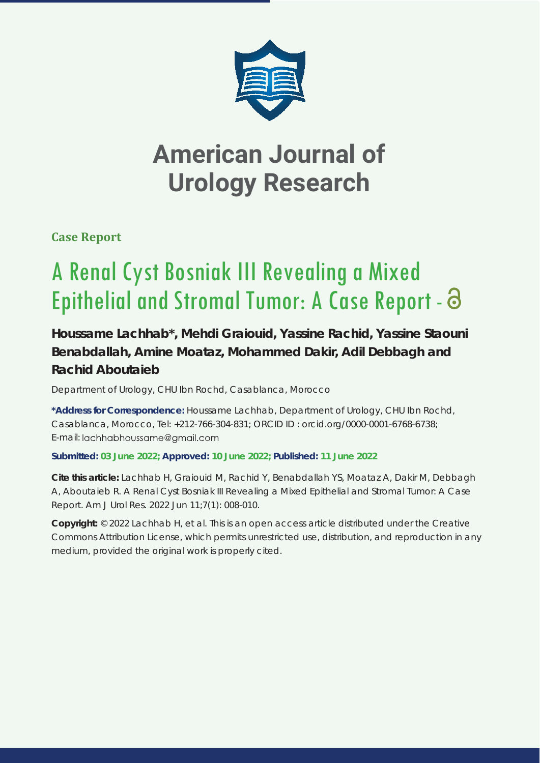

## **American Journal of Urology Research**

**Case Report**

# A Renal Cyst Bosniak III Revealing a Mixed Epithelial and Stromal Tumor: A Case Report -  $\Theta$

### **Houssame Lachhab\*, Mehdi Graiouid, Yassine Rachid, Yassine Staouni Benabdallah, Amine Moataz, Mohammed Dakir, Adil Debbagh and Rachid Aboutaieb**

*Department of Urology, CHU Ibn Rochd, Casablanca, Morocco* 

**\*Address for Correspondence:** Houssame Lachhab, Department of Urology, CHU Ibn Rochd, Casablanca, Morocco, Tel: +212-766-304-831; ORCID ID : orcid.org/0000-0001-6768-6738; E-mail: lachhabhoussame@gmail.com

### **Submitted: 03 June 2022; Approved: 10 June 2022; Published: 11 June 2022**

**Cite this article:** Lachhab H, Graiouid M, Rachid Y, Benabdallah YS, Moataz A, Dakir M, Debbagh A, Aboutaieb R. A Renal Cyst Bosniak III Revealing a Mixed Epithelial and Stromal Tumor: A Case Report. Am J Urol Res. 2022 Jun 11;7(1): 008-010.

**Copyright:** © 2022 Lachhab H, et al. This is an open access article distributed under the Creative Commons Attribution License, which permits unrestricted use, distribution, and reproduction in any medium, provided the original work is properly cited.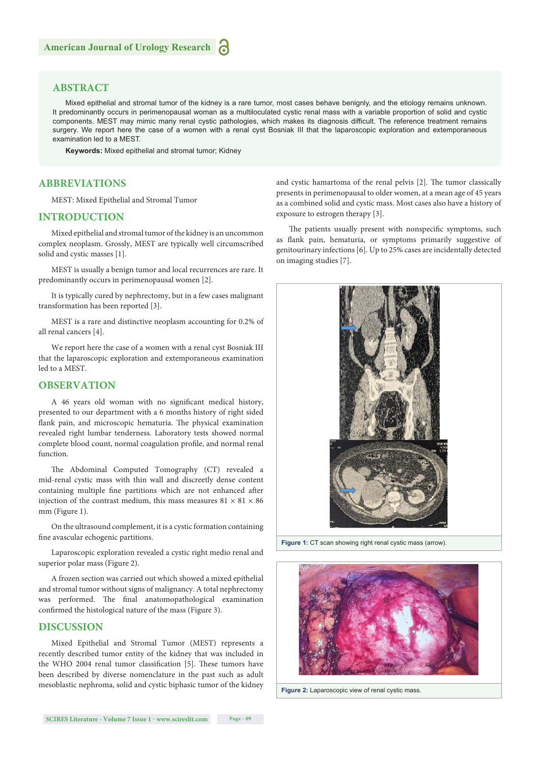#### **ABSTRACT**

Mixed epithelial and stromal tumor of the kidney is a rare tumor, most cases behave benignly, and the etiology remains unknown. It predominantly occurs in perimenopausal woman as a multiloculated cystic renal mass with a variable proportion of solid and cystic components. MEST may mimic many renal cystic pathologies, which makes its diagnosis difficult. The reference treatment remains surgery. We report here the case of a women with a renal cyst Bosniak III that the laparoscopic exploration and extemporaneous examination led to a MEST.

**Keywords:** Mixed epithelial and stromal tumor; Kidney

#### **ABBREVIATIONS**

MEST: Mixed Epithelial and Stromal Tumor

#### **INTRODUCTION**

Mixed epithelial and stromal tumor of the kidney is an uncommon complex neoplasm. Grossly, MEST are typically well circumscribed solid and cystic masses [1].

MEST is usually a benign tumor and local recurrences are rare. It predominantly occurs in perimenopausal women [2].

It is typically cured by nephrectomy, but in a few cases malignant transformation has been reported [3].

MEST is a rare and distinctive neoplasm accounting for 0.2% of all renal cancers [4].

We report here the case of a women with a renal cyst Bosniak III that the laparoscopic exploration and extemporaneous examination led to a MEST.

#### **OBSERVATION**

A 46 years old woman with no significant medical history, presented to our department with a 6 months history of right sided flank pain, and microscopic hematuria. The physical examination revealed right lumbar tenderness. Laboratory tests showed normal complete blood count, normal coagulation profile, and normal renal function.

The Abdominal Computed Tomography (CT) revealed a mid-renal cystic mass with thin wall and discreetly dense content containing multiple fine partitions which are not enhanced after injection of the contrast medium, this mass measures  $81 \times 81 \times 86$ mm (Figure 1).

On the ultrasound complement, it is a cystic formation containing fine avascular echogenic partitions.

Laparoscopic exploration revealed a cystic right medio renal and superior polar mass (Figure 2).

A frozen section was carried out which showed a mixed epithelial and stromal tumor without signs of malignancy. A total nephrectomy was performed. The final anatomopathological examination confirmed the histological nature of the mass (Figure 3).

#### **DISCUSSION**

Mixed Epithelial and Stromal Tumor (MEST) represents a recently described tumor entity of the kidney that was included in the WHO 2004 renal tumor classification [5]. These tumors have been described by diverse nomenclature in the past such as adult mesoblastic nephroma, solid and cystic biphasic tumor of the kidney and cystic hamartoma of the renal pelvis [2]. The tumor classically presents in perimenopausal to older women, at a mean age of 45 years as a combined solid and cystic mass. Most cases also have a history of exposure to estrogen therapy [3].

The patients usually present with nonspecific symptoms, such as flank pain, hematuria, or symptoms primarily suggestive of genitourinary infections [6]. Up to 25% cases are incidentally detected on imaging studies [7].



**Figure 1:** CT scan showing right renal cystic mass (arrow).



**Figure 2:** Laparoscopic view of renal cystic mass.